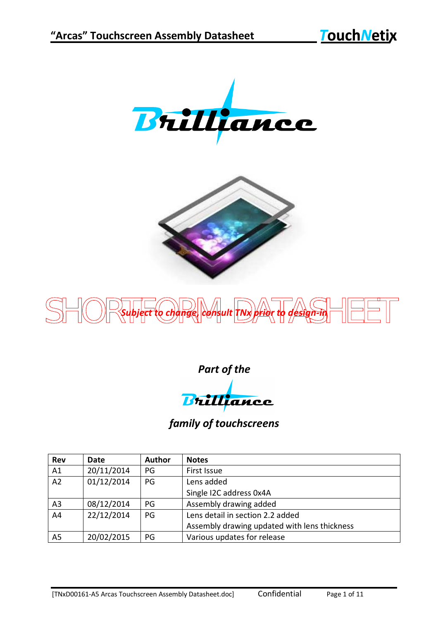



# $SMOR$  subject to change, consult  $TN$  grior to design in  $EET$ *Subject to change, consult TNx prior to design-in*

## *Part of the*

Brilliance

## *family of touchscreens*

| <b>Rev</b>     | Date       | <b>Author</b> | <b>Notes</b>                                 |
|----------------|------------|---------------|----------------------------------------------|
| A1             | 20/11/2014 | PG            | First Issue                                  |
| A2             | 01/12/2014 | PG            | Lens added                                   |
|                |            |               | Single I2C address 0x4A                      |
| A <sub>3</sub> | 08/12/2014 | PG            | Assembly drawing added                       |
| A4             | 22/12/2014 | PG            | Lens detail in section 2.2 added             |
|                |            |               | Assembly drawing updated with lens thickness |
| A5             | 20/02/2015 | PG            | Various updates for release                  |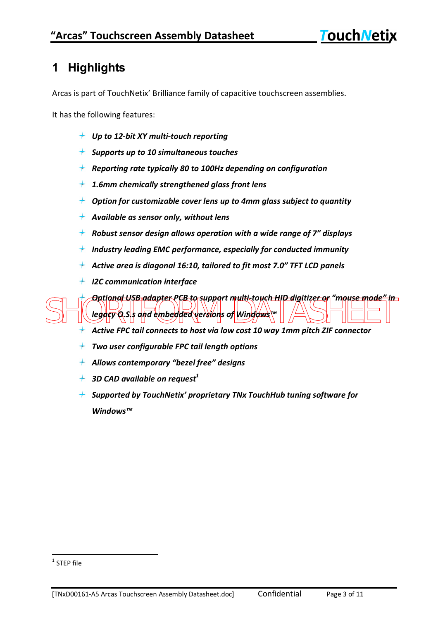## **1 Highlights**

Arcas is part of TouchNetix' Brilliance family of capacitive touchscreen assemblies.

It has the following features:

- *Up to 12-bit XY multi-touch reporting*
- *Supports up to 10 simultaneous touches*
- *Reporting rate typically 80 to 100Hz depending on configuration*
- *1.6mm chemically strengthened glass front lens*
- *Option for customizable cover lens up to 4mm glass subject to quantity*
- *Available as sensor only, without lens*
- *Robust sensor design allows operation with a wide range of 7" displays*
- *Industry leading EMC performance, especially for conducted immunity*
- *Active area is diagonal 16:10, tailored to fit most 7.0" TFT LCD panels*
- *I2C communication interface*

SHORTPORT CONTROLLED AND CONTROLLED AND CONTROLLED MODEL IN THE CONTROLLED MANUSCRIPTION OF THE CONTROLLED CONTROLLED THE CONTROLLED BE CALLED AND THE CONTROLLED BE CALLED AND THE CONTROLLED BE CALLED AND THE CONTROLLED BE *Optional USB adapter PCB to support multi-touch HID digitizer or "mouse mode" in legacy O.S.s and embedded versions of Windows™*

- *Active FPC tail connects to host via low cost 10 way 1mm pitch ZIF connector*
- *Two user configurable FPC tail length options*
- *Allows contemporary "bezel free" designs*
- *3D CAD available on request<sup>1</sup>*
- *Supported by TouchNetix' proprietary TNx TouchHub tuning software for Windows™*

 $\overline{a}$ 

 $1$  STEP file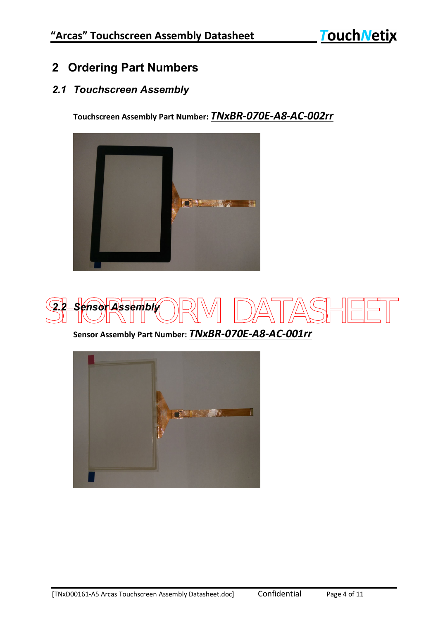## **2 Ordering Part Numbers**

### *2.1 Touchscreen Assembly*

**Touchscreen Assembly Part Number:** *TNxBR-070E-A8-AC-002rr*





**Sensor Assembly Part Number:** *TNxBR-070E-A8-AC-001rr*

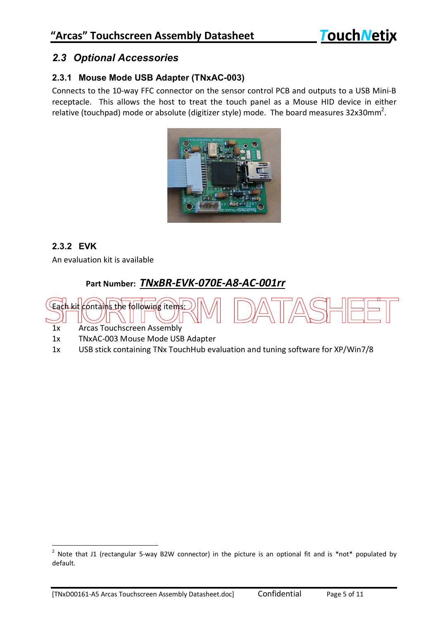#### *2.3 Optional Accessories*

#### **2.3.1 Mouse Mode USB Adapter (TNxAC-003)**

Connects to the 10-way FFC connector on the sensor control PCB and outputs to a USB Mini-B receptacle. This allows the host to treat the touch panel as a Mouse HID device in either relative (touchpad) mode or absolute (digitizer style) mode. The board measures 32x30mm<sup>2</sup>.



#### **2.3.2 EVK**

An evaluation kit is available

## **Part Number:** *TNxBR-EVK-070E-A8-AC-001rr*



- Arcas Touchscreen Assembly
- 1x TNxAC-003 Mouse Mode USB Adapter
- 1x USB stick containing TNx TouchHub evaluation and tuning software for XP/Win7/8

 2 Note that J1 (rectangular 5-way B2W connector) in the picture is an optional fit and is \*not\* populated by default.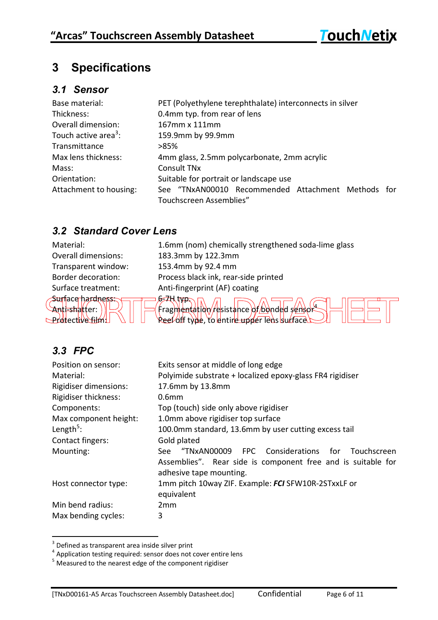## **3 Specifications**

## *3.1 Sensor*

| Base material:                   | PET (Polyethylene terephthalate) interconnects in silver |  |  |  |
|----------------------------------|----------------------------------------------------------|--|--|--|
| Thickness:                       | 0.4mm typ. from rear of lens                             |  |  |  |
| Overall dimension:               | 167mm x 111mm                                            |  |  |  |
| Touch active area <sup>3</sup> : | 159.9mm by 99.9mm                                        |  |  |  |
| Transmittance                    | >85%                                                     |  |  |  |
| Max lens thickness:              | 4mm glass, 2.5mm polycarbonate, 2mm acrylic              |  |  |  |
| Mass:                            | Consult TN <sub>x</sub>                                  |  |  |  |
| Orientation:                     | Suitable for portrait or landscape use                   |  |  |  |
| Attachment to housing:           | See "TNxAN00010 Recommended Attachment Methods for       |  |  |  |
|                                  | Touchscreen Assemblies"                                  |  |  |  |

#### *3.2 Standard Cover Lens*

| Material:                                                                     | 1.6mm (nom) chemically strengthened soda-lime glass                                             |
|-------------------------------------------------------------------------------|-------------------------------------------------------------------------------------------------|
| <b>Overall dimensions:</b>                                                    | 183.3mm by 122.3mm                                                                              |
| Transparent window:                                                           | 153.4mm by 92.4 mm                                                                              |
| Border decoration:                                                            | Process black ink, rear-side printed                                                            |
| Surface treatment:                                                            | Anti-fingerprint (AF) coating                                                                   |
| Surface hardness<br>:An <mark>ti-shatt</mark> ter<br><u>erbitedilive film</u> | ⊯क<br>Fragmentation/resistance of Bonded semport<br>Reel off type, Yo entire upper lens suctace |

## *3.3 FPC*

| Position on sensor:   | Exits sensor at middle of long edge                                                                                                                          |  |  |
|-----------------------|--------------------------------------------------------------------------------------------------------------------------------------------------------------|--|--|
| Material:             | Polyimide substrate + localized epoxy-glass FR4 rigidiser                                                                                                    |  |  |
| Rigidiser dimensions: | 17.6mm by 13.8mm                                                                                                                                             |  |  |
| Rigidiser thickness:  | 0.6 <sub>mm</sub>                                                                                                                                            |  |  |
| Components:           | Top (touch) side only above rigidiser                                                                                                                        |  |  |
| Max component height: | 1.0mm above rigidiser top surface                                                                                                                            |  |  |
| Length <sup>5</sup> : | 100.0mm standard, 13.6mm by user cutting excess tail                                                                                                         |  |  |
| Contact fingers:      | Gold plated                                                                                                                                                  |  |  |
| Mounting:             | "TNxAN00009 FPC Considerations for<br><b>Touchscreen</b><br>See i<br>Assemblies". Rear side is component free and is suitable for<br>adhesive tape mounting. |  |  |
| Host connector type:  | 1mm pitch 10way ZIF. Example: FCI SFW10R-2STxxLF or<br>equivalent                                                                                            |  |  |
| Min bend radius:      | 2mm                                                                                                                                                          |  |  |
| Max bending cycles:   | 3                                                                                                                                                            |  |  |

 3 Defined as transparent area inside silver print

<sup>&</sup>lt;sup>4</sup> Application testing required: sensor does not cover entire lens

 $5$  Measured to the nearest edge of the component rigidiser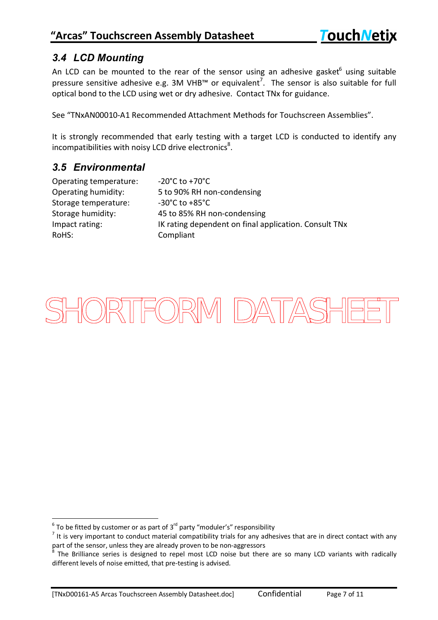## *3.4 LCD Mounting*

An LCD can be mounted to the rear of the sensor using an adhesive gasket $^6$  using suitable pressure sensitive adhesive e.g.  $3M$  VHB<sup> $M$ </sup> or equivalent<sup>7</sup>. The sensor is also suitable for full optical bond to the LCD using wet or dry adhesive. Contact TNx for guidance.

See "TNxAN00010-A1 Recommended Attachment Methods for Touchscreen Assemblies".

It is strongly recommended that early testing with a target LCD is conducted to identify any incompatibilities with noisy LCD drive electronics<sup>8</sup>.

#### *3.5 Environmental*

Operating temperature: -20°C to +70°C Storage temperature: -30°C to +85°C RoHS: Compliant

Operating humidity: 5 to 90% RH non-condensing Storage humidity: 45 to 85% RH non-condensing Impact rating: IK rating dependent on final application. Consult TNx

# SHORTFORM DATASHEET

 $\overline{a}$  $^6$  To be fitted by customer or as part of 3<sup>rd</sup> party "moduler's" responsibility

 $^7$  It is very important to conduct material compatibility trials for any adhesives that are in direct contact with any part of the sensor, unless they are already proven to be non-aggressors

<sup>&</sup>lt;sup>8</sup> The Brilliance series is designed to repel most LCD noise but there are so many LCD variants with radically different levels of noise emitted, that pre-testing is advised.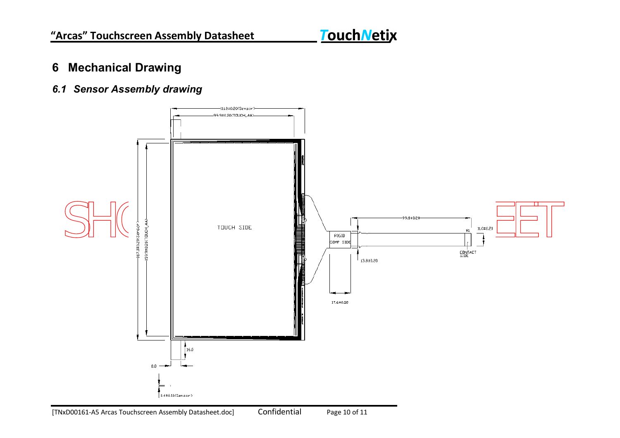## **6 Mechanical Drawing**

*6.1 Sensor Assembly drawing*